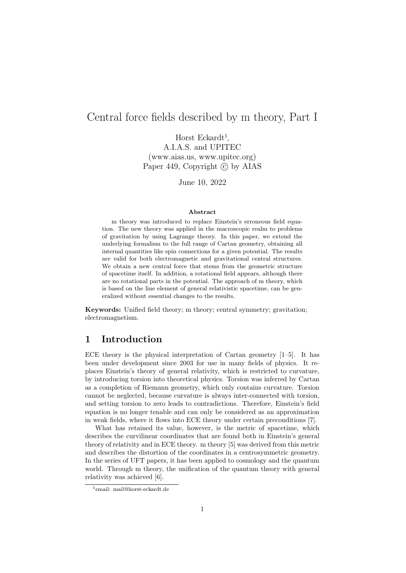### Central force fields described by m theory, Part I

Horst Eckardt<sup>1</sup>, A.I.A.S. and UPITEC (www.aias.us, www.upitec.org) Paper 449, Copyright  $\odot$  by AIAS

June 10, 2022

#### Abstract

m theory was introduced to replace Einstein's erroneous field equation. The new theory was applied in the macroscopic realm to problems of gravitation by using Lagrange theory. In this paper, we extend the underlying formalism to the full range of Cartan geometry, obtaining all internal quantities like spin connections for a given potential. The results are valid for both electromagnetic and gravitational central structures. We obtain a new central force that stems from the geometric structure of spacetime itself. In addition, a rotational field appears, although there are no rotational parts in the potential. The approach of m theory, which is based on the line element of general relativistic spacetime, can be generalized without essential changes to the results.

Keywords: Unified field theory; m theory; central symmetry; gravitation; electromagnetism.

### 1 Introduction

ECE theory is the physical interpretation of Cartan geometry  $[1-5]$ . It has been under development since 2003 for use in many fields of physics. It replaces Einstein's theory of general relativity, which is restricted to curvature, by introducing torsion into theoretical physics. Torsion was inferred by Cartan as a completion of Riemann geometry, which only contains curvature. Torsion cannot be neglected, because curvature is always inter-connected with torsion, and setting torsion to zero leads to contradictions. Therefore, Einstein's field equation is no longer tenable and can only be considered as an approximation in weak fields, where it flows into ECE theory under certain preconditions [7].

What has retained its value, however, is the metric of spacetime, which describes the curvilinear coordinates that are found both in Einstein's general theory of relativity and in ECE theory. m theory [5] was derived from this metric and describes the distortion of the coordinates in a centrosymmetric geometry. In the series of UFT papers, it has been applied to cosmology and the quantum world. Through m theory, the unification of the quantum theory with general relativity was achieved [6].

<sup>1</sup>email: mail@horst-eckardt.de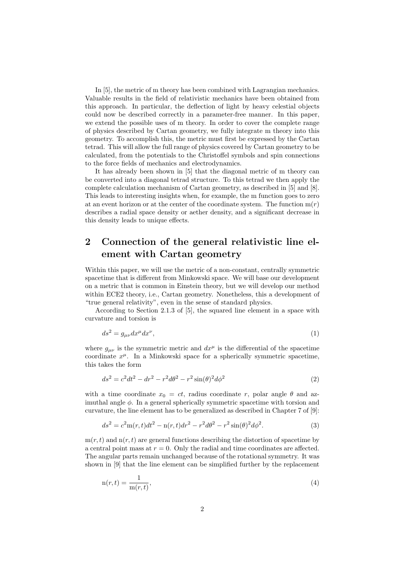In [5], the metric of m theory has been combined with Lagrangian mechanics. Valuable results in the field of relativistic mechanics have been obtained from this approach. In particular, the deflection of light by heavy celestial objects could now be described correctly in a parameter-free manner. In this paper, we extend the possible uses of m theory. In order to cover the complete range of physics described by Cartan geometry, we fully integrate m theory into this geometry. To accomplish this, the metric must first be expressed by the Cartan tetrad. This will allow the full range of physics covered by Cartan geometry to be calculated, from the potentials to the Christoffel symbols and spin connections to the force fields of mechanics and electrodynamics.

It has already been shown in [5] that the diagonal metric of m theory can be converted into a diagonal tetrad structure. To this tetrad we then apply the complete calculation mechanism of Cartan geometry, as described in [5] and [8]. This leads to interesting insights when, for example, the m function goes to zero at an event horizon or at the center of the coordinate system. The function  $m(r)$ describes a radial space density or aether density, and a significant decrease in this density leads to unique effects.

## 2 Connection of the general relativistic line element with Cartan geometry

Within this paper, we will use the metric of a non-constant, centrally symmetric spacetime that is different from Minkowski space. We will base our development on a metric that is common in Einstein theory, but we will develop our method within ECE2 theory, i.e., Cartan geometry. Nonetheless, this a development of "true general relativity", even in the sense of standard physics.

According to Section 2.1.3 of [5], the squared line element in a space with curvature and torsion is

$$
ds^2 = g_{\mu\nu} dx^{\mu} dx^{\nu},\tag{1}
$$

where  $g_{\mu\nu}$  is the symmetric metric and  $dx^{\mu}$  is the differential of the spacetime coordinate  $x^{\mu}$ . In a Minkowski space for a spherically symmetric spacetime, this takes the form

$$
ds^{2} = c^{2}dt^{2} - dr^{2} - r^{2}d\theta^{2} - r^{2}\sin(\theta)^{2}d\phi^{2}
$$
\n(2)

with a time coordinate  $x_0 = ct$ , radius coordinate r, polar angle  $\theta$  and azimuthal angle  $\phi$ . In a general spherically symmetric spacetime with torsion and curvature, the line element has to be generalized as described in Chapter 7 of [9]:

$$
ds^{2} = c^{2} \text{m}(r, t)dt^{2} - \text{n}(r, t)dr^{2} - r^{2}d\theta^{2} - r^{2}\sin(\theta)^{2}d\phi^{2}.
$$
 (3)

 $m(r, t)$  and  $n(r, t)$  are general functions describing the distortion of spacetime by a central point mass at  $r = 0$ . Only the radial and time coordinates are affected. The angular parts remain unchanged because of the rotational symmetry. It was shown in [9] that the line element can be simplified further by the replacement

$$
n(r,t) = \frac{1}{m(r,t)},
$$
\n(4)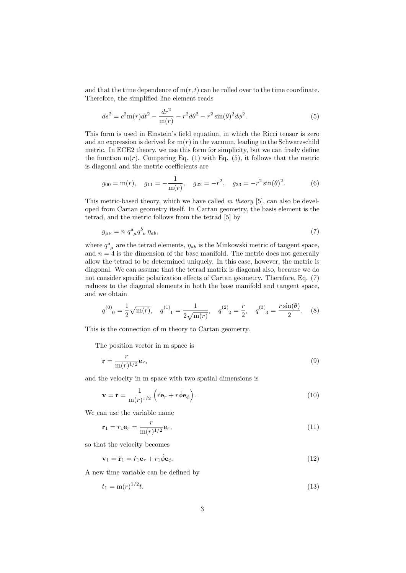and that the time dependence of  $m(r, t)$  can be rolled over to the time coordinate. Therefore, the simplified line element reads

$$
ds^{2} = c^{2} \text{m}(r)dt^{2} - \frac{dr^{2}}{\text{m}(r)} - r^{2}d\theta^{2} - r^{2}\sin(\theta)^{2}d\phi^{2}.
$$
 (5)

This form is used in Einstein's field equation, in which the Ricci tensor is zero and an expression is derived for  $m(r)$  in the vacuum, leading to the Schwarzschild metric. In ECE2 theory, we use this form for simplicity, but we can freely define the function  $m(r)$ . Comparing Eq. (1) with Eq. (5), it follows that the metric is diagonal and the metric coefficients are

$$
g_{00} = m(r)
$$
,  $g_{11} = -\frac{1}{m(r)}$ ,  $g_{22} = -r^2$ ,  $g_{33} = -r^2 \sin(\theta)^2$ . (6)

This metric-based theory, which we have called m theory [5], can also be developed from Cartan geometry itself. In Cartan geometry, the basis element is the tetrad, and the metric follows from the tetrad [5] by

$$
g_{\mu\nu} = n \; q^a_{\ \mu} q^b_{\ \nu} \; \eta_{ab},\tag{7}
$$

where  $q^a_{\mu}$  are the tetrad elements,  $\eta_{ab}$  is the Minkowski metric of tangent space, and  $n = 4$  is the dimension of the base manifold. The metric does not generally allow the tetrad to be determined uniquely. In this case, however, the metric is diagonal. We can assume that the tetrad matrix is diagonal also, because we do not consider specific polarization effects of Cartan geometry. Therefore, Eq. (7) reduces to the diagonal elements in both the base manifold and tangent space, and we obtain

$$
q^{(0)}_0 = \frac{1}{2}\sqrt{m(r)}, \quad q^{(1)}_1 = \frac{1}{2\sqrt{m(r)}}, \quad q^{(2)}_2 = \frac{r}{2}, \quad q^{(3)}_3 = \frac{r\sin(\theta)}{2}.
$$
 (8)

This is the connection of m theory to Cartan geometry.

The position vector in m space is

$$
\mathbf{r} = \frac{r}{\mathbf{m}(r)^{1/2}} \mathbf{e}_r,\tag{9}
$$

and the velocity in m space with two spatial dimensions is

$$
\mathbf{v} = \dot{\mathbf{r}} = \frac{1}{m(r)^{1/2}} \left( \dot{r} \mathbf{e}_r + r \dot{\phi} \mathbf{e}_\phi \right). \tag{10}
$$

We can use the variable name

$$
\mathbf{r}_1 = r_1 \mathbf{e}_r = \frac{r}{\mathbf{m}(r)^{1/2}} \mathbf{e}_r,\tag{11}
$$

so that the velocity becomes

$$
\mathbf{v}_1 = \dot{\mathbf{r}}_1 = \dot{r}_1 \mathbf{e}_r + r_1 \dot{\phi} \mathbf{e}_{\phi}.\tag{12}
$$

A new time variable can be defined by

$$
t_1 = \mathbf{m}(r)^{1/2}t.\tag{13}
$$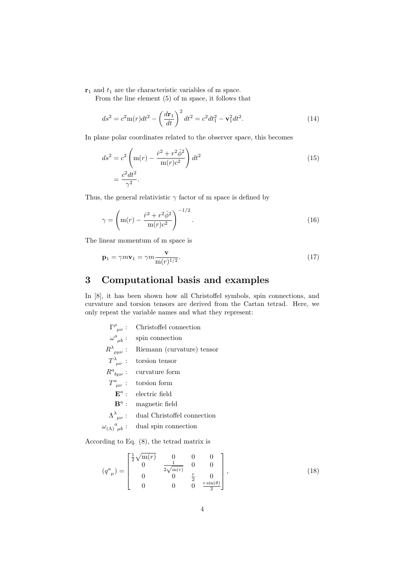$\mathbf{r}_1$  and  $t_1$  are the characteristic variables of m space.

From the line element (5) of m space, it follows that

$$
ds^{2} = c^{2} \text{m}(r) dt^{2} - \left(\frac{d\mathbf{r}_{1}}{dt}\right)^{2} dt^{2} = c^{2} dt_{1}^{2} - \mathbf{v}_{1}^{2} dt^{2}.
$$
 (14)

In plane polar coordinates related to the observer space, this becomes

$$
ds^{2} = c^{2} \left( m(r) - \frac{\dot{r}^{2} + r^{2} \dot{\phi}^{2}}{m(r)c^{2}} \right) dt^{2}
$$
  
= 
$$
\frac{c^{2} dt^{2}}{\gamma^{2}}.
$$
 (15)

Thus, the general relativistic  $\gamma$  factor of m space is defined by

$$
\gamma = \left( m(r) - \frac{\dot{r}^2 + r^2 \dot{\phi}^2}{m(r)c^2} \right)^{-1/2}.
$$
\n(16)

The linear momentum of m space is

$$
\mathbf{p}_1 = \gamma m \mathbf{v}_1 = \gamma m \frac{\mathbf{v}}{\mathbf{m}(r)^{1/2}}.
$$
 (17)

# 3 Computational basis and examples

In [8], it has been shown how all Christoffel symbols, spin connections, and curvature and torsion tensors are derived from the Cartan tetrad. Here, we only repeat the variable names and what they represent:

 $\Gamma^\rho$ Christoffel connection  $\omega^a$ spin connection  $R^{\lambda}$ Riemann (curvature) tensor  $T^{\lambda}$ torsion tensor  $R^a$ curvature form  $T^a$ torsion form  $\mathbf{E}^a$ electric field  $\mathbf{B}^a$ : magnetic field  $\Lambda^{\lambda}$ dual Christoffel connection  $\omega$ <sub>(A)</sub> $^a$ dual spin connection

According to Eq. (8), the tetrad matrix is

$$
(q^{a}_{\ \mu}) = \begin{bmatrix} \frac{1}{2}\sqrt{m(r)} & 0 & 0 & 0\\ 0 & \frac{1}{2\sqrt{m(r)}} & 0 & 0\\ 0 & 0 & \frac{r}{2} & 0\\ 0 & 0 & 0 & \frac{r\sin(\theta)}{2} \end{bmatrix},
$$
(18)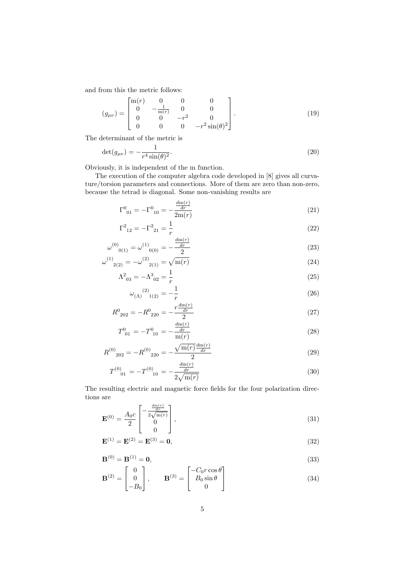and from this the metric follows:

$$
(g_{\mu\nu}) = \begin{bmatrix} \text{m}(r) & 0 & 0 & 0 \\ 0 & -\frac{1}{\text{m}(r)} & 0 & 0 \\ 0 & 0 & -r^2 & 0 \\ 0 & 0 & 0 & -r^2 \sin(\theta)^2 \end{bmatrix} . \tag{19}
$$

The determinant of the metric is

$$
\det(g_{\mu\nu}) = -\frac{1}{r^4 \sin(\theta)^2}.
$$
\n(20)

Obviously, it is independent of the m function.

The execution of the computer algebra code developed in [8] gives all curvature/torsion parameters and connections. More of them are zero than non-zero, because the tetrad is diagonal. Some non-vanishing results are

$$
\Gamma^0_{\ 01} = -\Gamma^0_{\ 10} = -\frac{\frac{dm(r)}{dr}}{2m(r)}\tag{21}
$$

$$
\Gamma^2_{12} = -\Gamma^2_{21} = \frac{1}{r}
$$
\n(22)

$$
\omega^{(0)}_{0(1)} = \omega^{(1)}_{0(0)} = -\frac{\frac{dm(r)}{dr}}{2}
$$
\n(23)

$$
\omega^{(1)}_{2(2)} = -\omega^{(2)}_{2(1)} = \sqrt{m(r)}
$$
\n
$$
\omega^{(2)}_{2(2)} = -\omega^{(2)}_{2(1)} = \sqrt{m(r)}
$$
\n(24)

$$
\Lambda^2_{03} = -\Lambda^3_{02} = \frac{1}{r}
$$
\n
$$
\omega_{(\Lambda)}^{(2)}_{1(2)} = -\frac{1}{r}
$$
\n(26)

$$
R^0_{\ 202} = -R^0_{\ 220} = -\frac{r\frac{d m(r)}{dr}}{2} \tag{27}
$$

$$
T_{01}^{0} = -T_{10}^{0} = -\frac{\frac{d\mathbf{m}(r)}{dr}}{\mathbf{m}(r)}
$$
\n(28)

$$
R^{(0)}_{202} = -R^{(0)}_{220} = -\frac{\sqrt{\text{m}(r)} \frac{d\text{m}(r)}{dr}}{2}
$$
\n(29)

$$
T^{(0)}_{01} = -T^{(0)}_{10} = -\frac{\frac{dm(r)}{dr}}{2\sqrt{m(r)}}\tag{30}
$$

The resulting electric and magnetic force fields for the four polarization directions are  $dm(r)$ 

$$
\mathbf{E}^{(0)} = \frac{A_0 c}{2} \begin{bmatrix} -\frac{\frac{dm(r)}{dr}}{2\sqrt{m(r)}}\\ 0\\ 0 \end{bmatrix},
$$
(31)

$$
\mathbf{E}^{(1)} = \mathbf{E}^{(2)} = \mathbf{E}^{(3)} = \mathbf{0},\tag{32}
$$

$$
\mathbf{B}^{(0)} = \mathbf{B}^{(1)} = \mathbf{0},\tag{33}
$$

$$
\mathbf{B}^{(2)} = \begin{bmatrix} 0 \\ 0 \\ -B_0 \end{bmatrix}, \qquad \mathbf{B}^{(3)} = \begin{bmatrix} -C_0 r \cos \theta \\ B_0 \sin \theta \\ 0 \end{bmatrix}
$$
(34)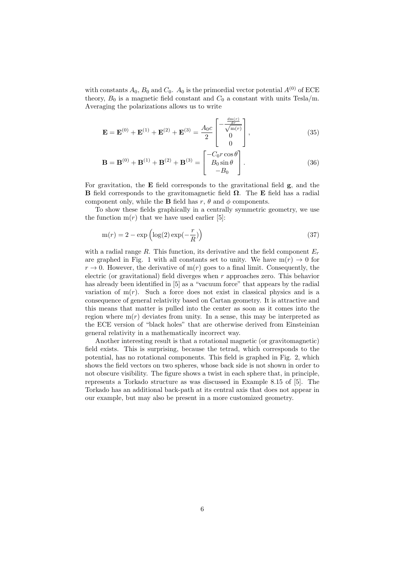with constants  $A_0$ ,  $B_0$  and  $C_0$ .  $A_0$  is the primordial vector potential  $A^{(0)}$  of ECE theory,  $B_0$  is a magnetic field constant and  $C_0$  a constant with units Tesla/m. Averaging the polarizations allows us to write

$$
\mathbf{E} = \mathbf{E}^{(0)} + \mathbf{E}^{(1)} + \mathbf{E}^{(2)} + \mathbf{E}^{(3)} = \frac{A_0 c}{2} \begin{bmatrix} -\frac{\frac{dm(r)}{dr}}{\sqrt{m(r)}}\\ 0\\ 0 \end{bmatrix},
$$
(35)

$$
\mathbf{B} = \mathbf{B}^{(0)} + \mathbf{B}^{(1)} + \mathbf{B}^{(2)} + \mathbf{B}^{(3)} = \begin{bmatrix} -C_0 r \cos \theta \\ B_0 \sin \theta \\ -B_0 \end{bmatrix}.
$$
 (36)

For gravitation, the E field corresponds to the gravitational field g, and the **B** field corresponds to the gravitomagnetic field  $\Omega$ . The **E** field has a radial component only, while the **B** field has  $r$ ,  $\theta$  and  $\phi$  components.

To show these fields graphically in a centrally symmetric geometry, we use the function  $m(r)$  that we have used earlier [5]:

$$
m(r) = 2 - \exp\left(\log(2)\exp(-\frac{r}{R})\right)
$$
\n(37)

with a radial range R. This function, its derivative and the field component  $E_r$ are graphed in Fig. 1 with all constants set to unity. We have  $m(r) \rightarrow 0$  for  $r \to 0$ . However, the derivative of  $m(r)$  goes to a final limit. Consequently, the electric (or gravitational) field diverges when r approaches zero. This behavior has already been identified in [5] as a "vacuum force" that appears by the radial variation of  $m(r)$ . Such a force does not exist in classical physics and is a consequence of general relativity based on Cartan geometry. It is attractive and this means that matter is pulled into the center as soon as it comes into the region where  $m(r)$  deviates from unity. In a sense, this may be interpreted as the ECE version of "black holes" that are otherwise derived from Einsteinian general relativity in a mathematically incorrect way.

Another interesting result is that a rotational magnetic (or gravitomagnetic) field exists. This is surprising, because the tetrad, which corresponds to the potential, has no rotational components. This field is graphed in Fig. 2, which shows the field vectors on two spheres, whose back side is not shown in order to not obscure visibility. The figure shows a twist in each sphere that, in principle, represents a Torkado structure as was discussed in Example 8.15 of [5]. The Torkado has an additional back-path at its central axis that does not appear in our example, but may also be present in a more customized geometry.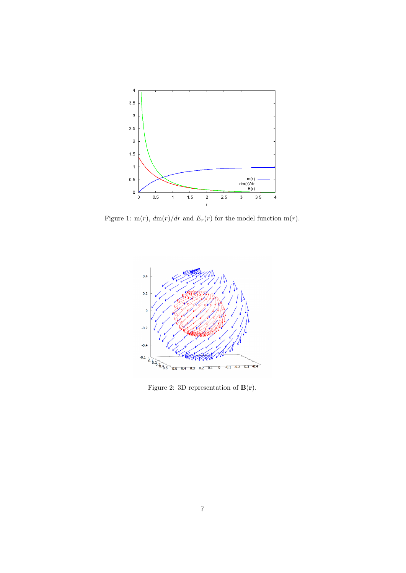

Figure 1: m(r),  $dm(r)/dr$  and  $E_r(r)$  for the model function m(r).



Figure 2: 3D representation of  ${\bf B}({\bf r}).$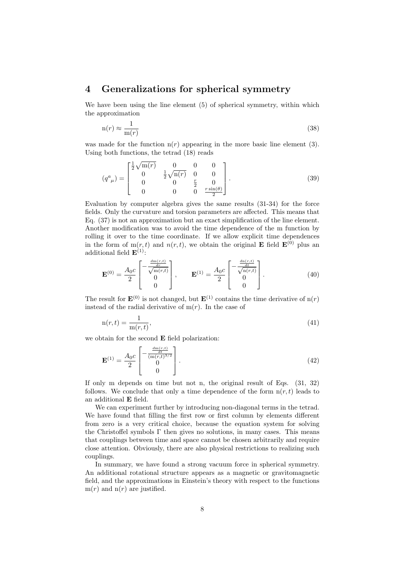### 4 Generalizations for spherical symmetry

We have been using the line element  $(5)$  of spherical symmetry, within which the approximation

$$
n(r) \approx \frac{1}{m(r)}\tag{38}
$$

was made for the function  $n(r)$  appearing in the more basic line element (3). Using both functions, the tetrad (18) reads

$$
(q^{a}_{\ \mu}) = \begin{bmatrix} \frac{1}{2}\sqrt{m(r)} & 0 & 0 & 0\\ 0 & \frac{1}{2}\sqrt{n(r)} & 0 & 0\\ 0 & 0 & \frac{r}{2} & 0\\ 0 & 0 & 0 & \frac{r\sin(\theta)}{2} \end{bmatrix}.
$$
 (39)

Evaluation by computer algebra gives the same results (31-34) for the force fields. Only the curvature and torsion parameters are affected. This means that Eq. (37) is not an approximation but an exact simplification of the line element. Another modification was to avoid the time dependence of the m function by rolling it over to the time coordinate. If we allow explicit time dependences in the form of  $m(r, t)$  and  $n(r, t)$ , we obtain the original **E** field  $\mathbf{E}^{(0)}$  plus an additional field  $\mathbf{E}^{(1)}$ :

$$
\mathbf{E}^{(0)} = \frac{A_0 c}{2} \begin{bmatrix} -\frac{\frac{dm(r,t)}{dr}}{\sqrt{m(r,t)}}\\ 0\\ 0 \end{bmatrix}, \qquad \mathbf{E}^{(1)} = \frac{A_0 c}{2} \begin{bmatrix} -\frac{\frac{dn(r,t)}{dt}}{\sqrt{n(r,t)}}\\ 0\\ 0 \end{bmatrix}.
$$
 (40)

The result for  $\mathbf{E}^{(0)}$  is not changed, but  $\mathbf{E}^{(1)}$  contains the time derivative of  $n(r)$ instead of the radial derivative of  $m(r)$ . In the case of

$$
n(r,t) = \frac{1}{m(r,t)},
$$
\n(41)

we obtain for the second E field polarization:

$$
\mathbf{E}^{(1)} = \frac{A_0 c}{2} \begin{bmatrix} -\frac{\frac{dm(r,t)}{dt}}{(\frac{m(r,t)^{3/2}}{0})} \\ 0 \end{bmatrix} . \tag{42}
$$

If only m depends on time but not n, the original result of Eqs. (31, 32) follows. We conclude that only a time dependence of the form  $n(r, t)$  leads to an additional E field.

We can experiment further by introducing non-diagonal terms in the tetrad. We have found that filling the first row or first column by elements different from zero is a very critical choice, because the equation system for solving the Christoffel symbols  $\Gamma$  then gives no solutions, in many cases. This means that couplings between time and space cannot be chosen arbitrarily and require close attention. Obviously, there are also physical restrictions to realizing such couplings.

In summary, we have found a strong vacuum force in spherical symmetry. An additional rotational structure appears as a magnetic or gravitomagnetic field, and the approximations in Einstein's theory with respect to the functions  $m(r)$  and  $n(r)$  are justified.